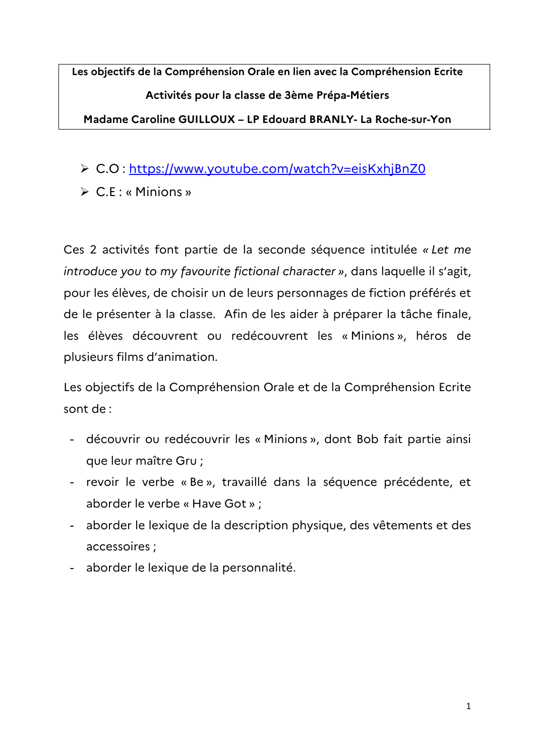**Les objectifs de la Compréhension Orale en lien avec la Compréhension Ecrite Activités pour la classe de 3ème Prépa-Métiers Madame Caroline GUILLOUX – LP Edouard BRANLY- La Roche-sur-Yon**

- C.O : https://www.youtube.com/watch?v=eisKxhjBnZ0
- $\triangleright$  C.E : « Minions »

Ces 2 activités font partie de la seconde séquence intitulée « Let me *introduce you to my favourite fictional character* », dans laquelle il s'agit, pour les élèves, de choisir un de leurs personnages de fiction préférés et de le présenter à la classe. Afin de les aider à préparer la tâche finale, les élèves découvrent ou redécouvrent les «Minions», héros de plusieurs films d'animation.

Les objectifs de la Compréhension Orale et de la Compréhension Ecrite sont de :

- découvrir ou redécouvrir les « Minions », dont Bob fait partie ainsi que leur maître Gru ;
- revoir le verbe « Be », travaillé dans la séquence précédente, et aborder le verbe « Have Got » ;
- aborder le lexique de la description physique, des vêtements et des accessoires ;
- aborder le lexique de la personnalité.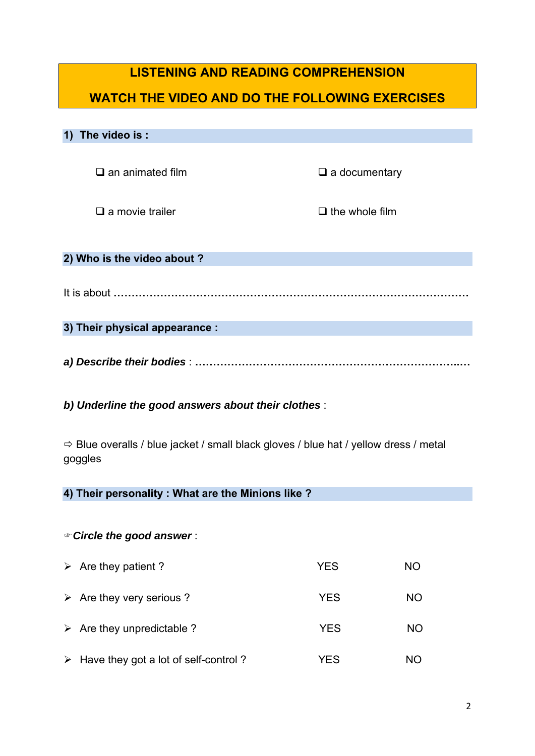## **LISTENING AND READING COMPREHENSION**

# **WATCH THE VIDEO AND DO THE FOLLOWING EXERCISES**

## **1) The video is :**

 $\square$  an animated film  $\square$  a documentary

 $\Box$  a movie trailer  $\Box$  the whole film

#### **2) Who is the video about ?**

It is about **………………………………………………………………………………………**

**3) Their physical appearance :** 

*a) Describe their bodies* : **………………………………………………………………..…**

### *b) Underline the good answers about their clothes* :

 $\Rightarrow$  Blue overalls / blue jacket / small black gloves / blue hat / yellow dress / metal goggles

### **4) Their personality : What are the Minions like ?**

#### *Circle the good answer* :

| $\triangleright$ Are they patient ?                   | <b>YES</b> | NO.       |
|-------------------------------------------------------|------------|-----------|
| $\triangleright$ Are they very serious ?              | <b>YES</b> | <b>NO</b> |
| $\triangleright$ Are they unpredictable ?             | <b>YES</b> | <b>NO</b> |
| $\triangleright$ Have they got a lot of self-control? | YES        | NO)       |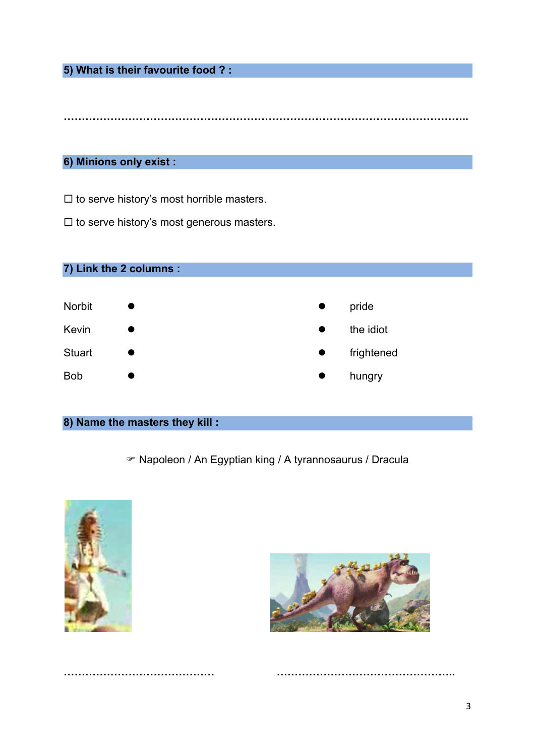**5) What is their favourite food ? :** 

**…………………………………………………………………………………………………..** 

### **6) Minions only exist :**

 $\square$  to serve history's most horrible masters.

 $\square$  to serve history's most generous masters.



## **8) Name the masters they kill :**

Napoleon / An Egyptian king / A tyrannosaurus / Dracula

**…………………………………… …………………………………………..**



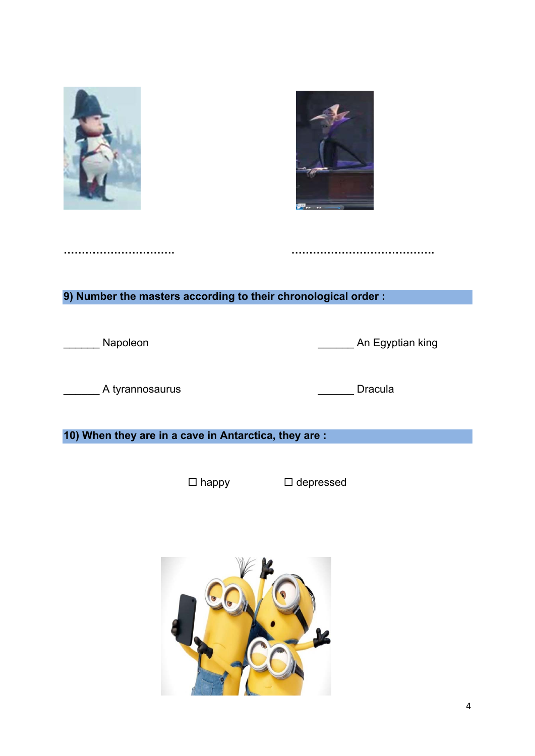



**9) Number the masters according to their chronological order :** 

**…………………………. ………………………………….** 

\_\_\_\_\_\_ Napoleon \_\_\_\_\_\_ An Egyptian king

\_\_\_\_\_\_ A tyrannosaurus \_\_\_\_\_\_ Dracula

**10) When they are in a cave in Antarctica, they are :** 

 $\Box$  happy  $\Box$  depressed

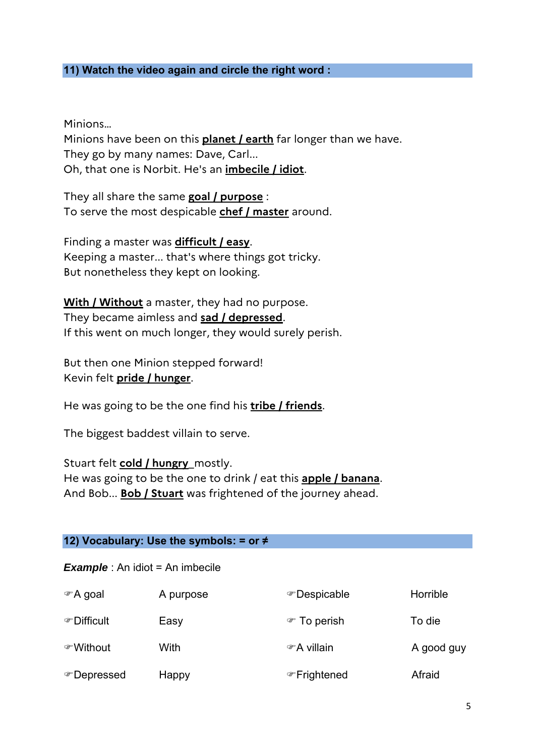## **11) Watch the video again and circle the right word :**

Minions…

Minions have been on this **planet / earth** far longer than we have. They go by many names: Dave, Carl... Oh, that one is Norbit. He's an **imbecile / idiot**.

They all share the same **goal / purpose** : To serve the most despicable **chef / master** around.

Finding a master was **difficult / easy**. Keeping a master... that's where things got tricky. But nonetheless they kept on looking.

**With / Without** a master, they had no purpose. They became aimless and **sad / depressed**. If this went on much longer, they would surely perish.

But then one Minion stepped forward! Kevin felt **pride / hunger**.

He was going to be the one find his **tribe / friends**.

The biggest baddest villain to serve.

Stuart felt **cold / hungry**\_mostly. He was going to be the one to drink / eat this **apple / banana**. And Bob... **Bob / Stuart** was frightened of the journey ahead.

### **12) Vocabulary: Use the symbols: = or ≠**

*Example* : An idiot = An imbecile

| ☞A goal     | A purpose | ☞ Despicable              | Horrible   |
|-------------|-----------|---------------------------|------------|
| ☞ Difficult | Easy      | <b><i>■</i></b> To perish | To die     |
| ☞Without    | With      | ☞ A villain               | A good guy |
| ☞ Depressed | Happy     | ☞ Frightened              | Afraid     |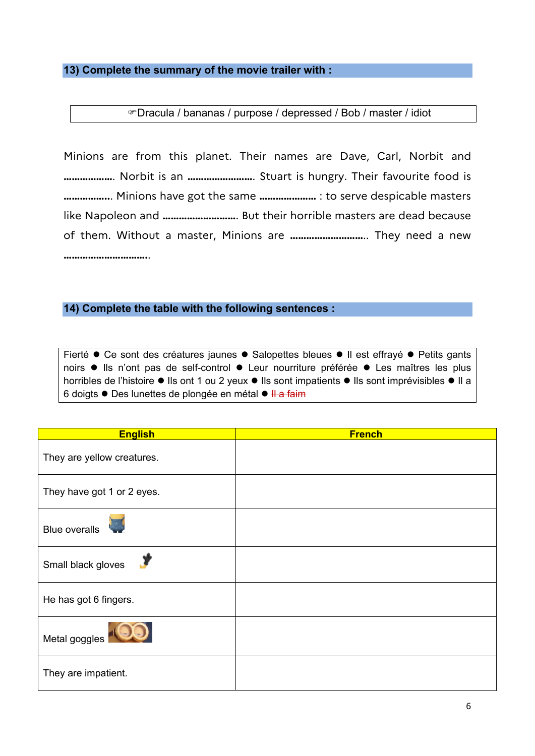#### **13) Complete the summary of the movie trailer with :**

Dracula / bananas / purpose / depressed / Bob / master / idiot

Minions are from this planet. Their names are Dave, Carl, Norbit and **………………**. Norbit is an **……………………**. Stuart is hungry. Their favourite food is **……………..**. Minions have got the same **…………………** : to serve despicable masters like Napoleon and **………………………**. But their horrible masters are dead because of them. Without a master, Minions are **………………………**.. They need a new **………………………….**.

#### **14) Complete the table with the following sentences :**

Fierté  $\bullet$  Ce sont des créatures jaunes  $\bullet$  Salopettes bleues  $\bullet$  Il est effrayé  $\bullet$  Petits gants noirs  $\bullet$  Ils n'ont pas de self-control  $\bullet$  Leur nourriture préférée  $\bullet$  Les maîtres les plus horribles de l'histoire  $\bullet$  Ils ont 1 ou 2 yeux  $\bullet$  Ils sont impatients  $\bullet$  Ils sont imprévisibles  $\bullet$  Il a 6 doigts ● Des lunettes de plongée en métal ● <del>Il a faim</del>

| <b>English</b>             | <b>French</b> |
|----------------------------|---------------|
| They are yellow creatures. |               |
| They have got 1 or 2 eyes. |               |
| <b>Blue overalls</b>       |               |
| Small black gloves         |               |
| He has got 6 fingers.      |               |
| Metal goggles              |               |
| They are impatient.        |               |